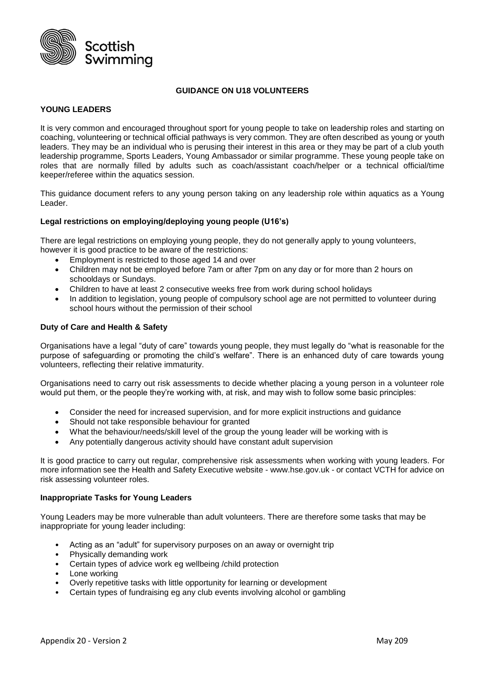

## **GUIDANCE ON U18 VOLUNTEERS**

## **YOUNG LEADERS**

It is very common and encouraged throughout sport for young people to take on leadership roles and starting on coaching, volunteering or technical official pathways is very common. They are often described as young or youth leaders. They may be an individual who is perusing their interest in this area or they may be part of a club youth leadership programme, Sports Leaders, Young Ambassador or similar programme. These young people take on roles that are normally filled by adults such as coach/assistant coach/helper or a technical official/time keeper/referee within the aquatics session.

This guidance document refers to any young person taking on any leadership role within aquatics as a Young Leader.

### **Legal restrictions on employing/deploying young people (U16's)**

There are legal restrictions on employing young people, they do not generally apply to young volunteers, however it is good practice to be aware of the restrictions:

- Employment is restricted to those aged 14 and over
- Children may not be employed before 7am or after 7pm on any day or for more than 2 hours on schooldays or Sundays.
- Children to have at least 2 consecutive weeks free from work during school holidays
- In addition to legislation, young people of compulsory school age are not permitted to volunteer during school hours without the permission of their school

### **Duty of Care and Health & Safety**

Organisations have a legal "duty of care" towards young people, they must legally do "what is reasonable for the purpose of safeguarding or promoting the child's welfare". There is an enhanced duty of care towards young volunteers, reflecting their relative immaturity.

Organisations need to carry out risk assessments to decide whether placing a young person in a volunteer role would put them, or the people they're working with, at risk, and may wish to follow some basic principles:

- Consider the need for increased supervision, and for more explicit instructions and guidance
- Should not take responsible behaviour for granted
- What the behaviour/needs/skill level of the group the young leader will be working with is
- Any potentially dangerous activity should have constant adult supervision

It is good practice to carry out regular, comprehensive risk assessments when working with young leaders. For more information see the Health and Safety Executive website - www.hse.gov.uk - or contact VCTH for advice on risk assessing volunteer roles.

### **Inappropriate Tasks for Young Leaders**

Young Leaders may be more vulnerable than adult volunteers. There are therefore some tasks that may be inappropriate for young leader including:

- Acting as an "adult" for supervisory purposes on an away or overnight trip
- Physically demanding work
- Certain types of advice work eg wellbeing /child protection
- Lone working
- Overly repetitive tasks with little opportunity for learning or development
- Certain types of fundraising eg any club events involving alcohol or gambling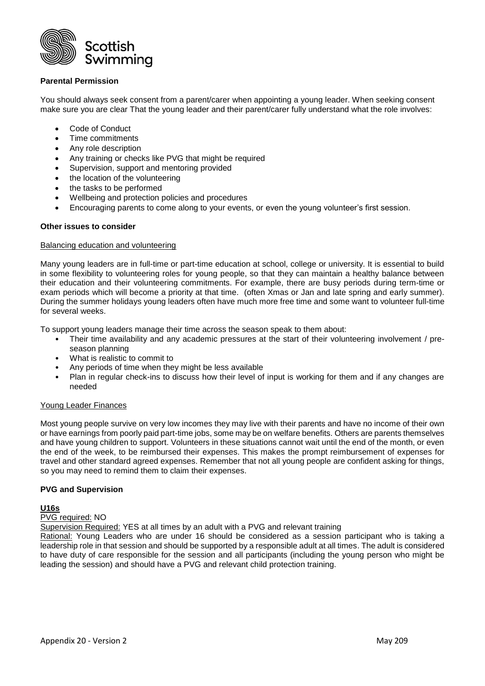

## **Parental Permission**

You should always seek consent from a parent/carer when appointing a young leader. When seeking consent make sure you are clear That the young leader and their parent/carer fully understand what the role involves:

- Code of Conduct
- Time commitments
- Any role description
- Any training or checks like PVG that might be required
- Supervision, support and mentoring provided
- the location of the volunteering
- the tasks to be performed
- Wellbeing and protection policies and procedures
- Encouraging parents to come along to your events, or even the young volunteer's first session.

#### **Other issues to consider**

### Balancing education and volunteering

Many young leaders are in full-time or part-time education at school, college or university. It is essential to build in some flexibility to volunteering roles for young people, so that they can maintain a healthy balance between their education and their volunteering commitments. For example, there are busy periods during term-time or exam periods which will become a priority at that time. (often Xmas or Jan and late spring and early summer). During the summer holidays young leaders often have much more free time and some want to volunteer full-time for several weeks.

To support young leaders manage their time across the season speak to them about:

- Their time availability and any academic pressures at the start of their volunteering involvement / preseason planning
- What is realistic to commit to
- Any periods of time when they might be less available
- Plan in regular check-ins to discuss how their level of input is working for them and if any changes are needed

### Young Leader Finances

Most young people survive on very low incomes they may live with their parents and have no income of their own or have earnings from poorly paid part-time jobs, some may be on welfare benefits. Others are parents themselves and have young children to support. Volunteers in these situations cannot wait until the end of the month, or even the end of the week, to be reimbursed their expenses. This makes the prompt reimbursement of expenses for travel and other standard agreed expenses. Remember that not all young people are confident asking for things, so you may need to remind them to claim their expenses.

### **PVG and Supervision**

### **U16s**

### PVG required: NO

Supervision Required: YES at all times by an adult with a PVG and relevant training

Rational: Young Leaders who are under 16 should be considered as a session participant who is taking a leadership role in that session and should be supported by a responsible adult at all times. The adult is considered to have duty of care responsible for the session and all participants (including the young person who might be leading the session) and should have a PVG and relevant child protection training.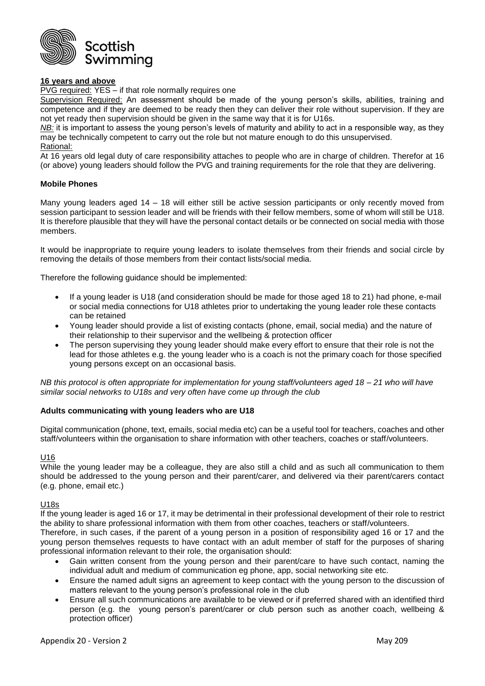

# **16 years and above**

PVG required: YES – if that role normally requires one

Supervision Required: An assessment should be made of the young person's skills, abilities, training and competence and if they are deemed to be ready then they can deliver their role without supervision. If they are not yet ready then supervision should be given in the same way that it is for U16s.

*NB:* it is important to assess the young person's levels of maturity and ability to act in a responsible way, as they may be technically competent to carry out the role but not mature enough to do this unsupervised. Rational:

At 16 years old legal duty of care responsibility attaches to people who are in charge of children. Therefor at 16 (or above) young leaders should follow the PVG and training requirements for the role that they are delivering.

### **Mobile Phones**

Many young leaders aged 14 – 18 will either still be active session participants or only recently moved from session participant to session leader and will be friends with their fellow members, some of whom will still be U18. It is therefore plausible that they will have the personal contact details or be connected on social media with those members.

It would be inappropriate to require young leaders to isolate themselves from their friends and social circle by removing the details of those members from their contact lists/social media.

Therefore the following guidance should be implemented:

- If a young leader is U18 (and consideration should be made for those aged 18 to 21) had phone, e-mail or social media connections for U18 athletes prior to undertaking the young leader role these contacts can be retained
- Young leader should provide a list of existing contacts (phone, email, social media) and the nature of their relationship to their supervisor and the wellbeing & protection officer
- The person supervising they young leader should make every effort to ensure that their role is not the lead for those athletes e.g. the young leader who is a coach is not the primary coach for those specified young persons except on an occasional basis.

*NB this protocol is often appropriate for implementation for young staff/volunteers aged 18 – 21 who will have similar social networks to U18s and very often have come up through the club* 

### **Adults communicating with young leaders who are U18**

Digital communication (phone, text, emails, social media etc) can be a useful tool for teachers, coaches and other staff/volunteers within the organisation to share information with other teachers, coaches or staff/volunteers.

### U16

While the young leader may be a colleague, they are also still a child and as such all communication to them should be addressed to the young person and their parent/carer, and delivered via their parent/carers contact (e.g. phone, email etc.)

#### U18s

If the young leader is aged 16 or 17, it may be detrimental in their professional development of their role to restrict the ability to share professional information with them from other coaches, teachers or staff/volunteers.

Therefore, in such cases, if the parent of a young person in a position of responsibility aged 16 or 17 and the young person themselves requests to have contact with an adult member of staff for the purposes of sharing professional information relevant to their role, the organisation should:

- Gain written consent from the young person and their parent/care to have such contact, naming the individual adult and medium of communication eg phone, app, social networking site etc.
- Ensure the named adult signs an agreement to keep contact with the young person to the discussion of matters relevant to the young person's professional role in the club
- Ensure all such communications are available to be viewed or if preferred shared with an identified third person (e.g. the young person's parent/carer or club person such as another coach, wellbeing & protection officer)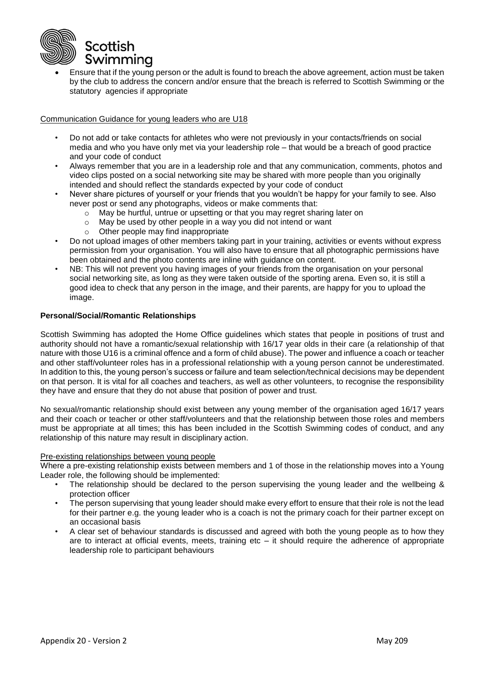

 Ensure that if the young person or the adult is found to breach the above agreement, action must be taken by the club to address the concern and/or ensure that the breach is referred to Scottish Swimming or the statutory agencies if appropriate

Communication Guidance for young leaders who are U18

- Do not add or take contacts for athletes who were not previously in your contacts/friends on social media and who you have only met via your leadership role – that would be a breach of good practice and your code of conduct
- Always remember that you are in a leadership role and that any communication, comments, photos and video clips posted on a social networking site may be shared with more people than you originally intended and should reflect the standards expected by your code of conduct
- Never share pictures of yourself or your friends that you wouldn't be happy for your family to see. Also never post or send any photographs, videos or make comments that:
	- o May be hurtful, untrue or upsetting or that you may regret sharing later on
	- o May be used by other people in a way you did not intend or want
	- o Other people may find inappropriate
- Do not upload images of other members taking part in your training, activities or events without express permission from your organisation. You will also have to ensure that all photographic permissions have been obtained and the photo contents are inline with guidance on content.
- NB: This will not prevent you having images of your friends from the organisation on your personal social networking site, as long as they were taken outside of the sporting arena. Even so, it is still a good idea to check that any person in the image, and their parents, are happy for you to upload the image.

# **Personal/Social/Romantic Relationships**

Scottish Swimming has adopted the Home Office guidelines which states that people in positions of trust and authority should not have a romantic/sexual relationship with 16/17 year olds in their care (a relationship of that nature with those U16 is a criminal offence and a form of child abuse). The power and influence a coach or teacher and other staff/volunteer roles has in a professional relationship with a young person cannot be underestimated. In addition to this, the young person's success or failure and team selection/technical decisions may be dependent on that person. It is vital for all coaches and teachers, as well as other volunteers, to recognise the responsibility they have and ensure that they do not abuse that position of power and trust.

No sexual/romantic relationship should exist between any young member of the organisation aged 16/17 years and their coach or teacher or other staff/volunteers and that the relationship between those roles and members must be appropriate at all times; this has been included in the Scottish Swimming codes of conduct, and any relationship of this nature may result in disciplinary action.

#### Pre-existing relationships between young people

Where a pre-existing relationship exists between members and 1 of those in the relationship moves into a Young Leader role, the following should be implemented:

- The relationship should be declared to the person supervising the young leader and the wellbeing & protection officer
- The person supervising that young leader should make every effort to ensure that their role is not the lead for their partner e.g. the young leader who is a coach is not the primary coach for their partner except on an occasional basis
- A clear set of behaviour standards is discussed and agreed with both the young people as to how they are to interact at official events, meets, training etc  $-$  it should require the adherence of appropriate leadership role to participant behaviours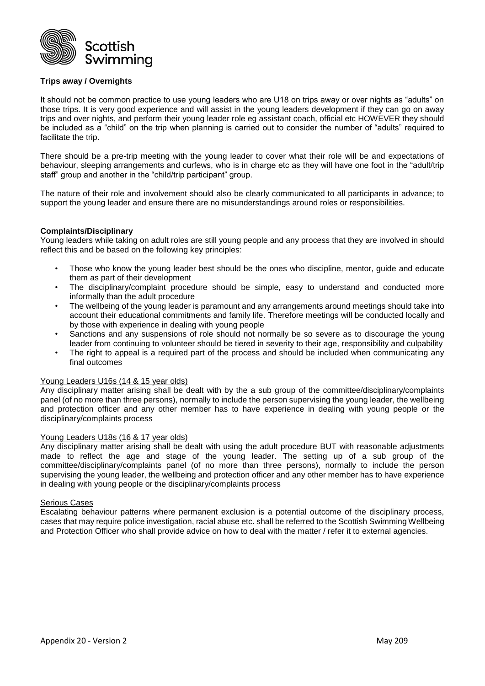

## **Trips away / Overnights**

It should not be common practice to use young leaders who are U18 on trips away or over nights as "adults" on those trips. It is very good experience and will assist in the young leaders development if they can go on away trips and over nights, and perform their young leader role eg assistant coach, official etc HOWEVER they should be included as a "child" on the trip when planning is carried out to consider the number of "adults" required to facilitate the trip.

There should be a pre-trip meeting with the young leader to cover what their role will be and expectations of behaviour, sleeping arrangements and curfews, who is in charge etc as they will have one foot in the "adult/trip staff" group and another in the "child/trip participant" group.

The nature of their role and involvement should also be clearly communicated to all participants in advance; to support the young leader and ensure there are no misunderstandings around roles or responsibilities.

### **Complaints/Disciplinary**

Young leaders while taking on adult roles are still young people and any process that they are involved in should reflect this and be based on the following key principles:

- Those who know the young leader best should be the ones who discipline, mentor, guide and educate them as part of their development
- The disciplinary/complaint procedure should be simple, easy to understand and conducted more informally than the adult procedure
- The wellbeing of the young leader is paramount and any arrangements around meetings should take into account their educational commitments and family life. Therefore meetings will be conducted locally and by those with experience in dealing with young people
- Sanctions and any suspensions of role should not normally be so severe as to discourage the young leader from continuing to volunteer should be tiered in severity to their age, responsibility and culpability
- The right to appeal is a required part of the process and should be included when communicating any final outcomes

### Young Leaders U16s (14 & 15 year olds)

Any disciplinary matter arising shall be dealt with by the a sub group of the committee/disciplinary/complaints panel (of no more than three persons), normally to include the person supervising the young leader, the wellbeing and protection officer and any other member has to have experience in dealing with young people or the disciplinary/complaints process

### Young Leaders U18s (16 & 17 year olds)

Any disciplinary matter arising shall be dealt with using the adult procedure BUT with reasonable adjustments made to reflect the age and stage of the young leader. The setting up of a sub group of the committee/disciplinary/complaints panel (of no more than three persons), normally to include the person supervising the young leader, the wellbeing and protection officer and any other member has to have experience in dealing with young people or the disciplinary/complaints process

### Serious Cases

Escalating behaviour patterns where permanent exclusion is a potential outcome of the disciplinary process, cases that may require police investigation, racial abuse etc. shall be referred to the Scottish Swimming Wellbeing and Protection Officer who shall provide advice on how to deal with the matter / refer it to external agencies.